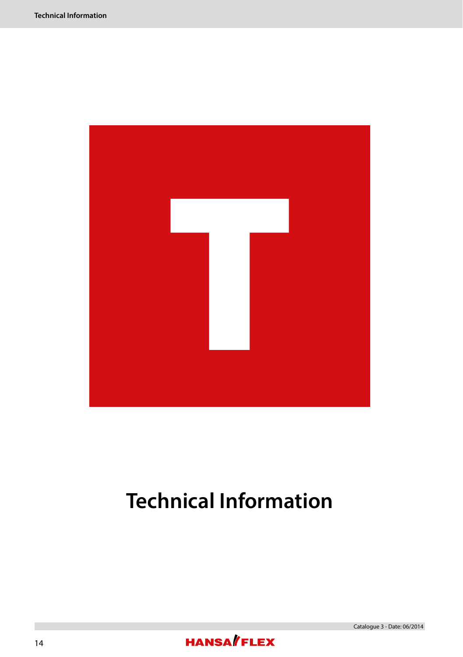

# **Technical Information**

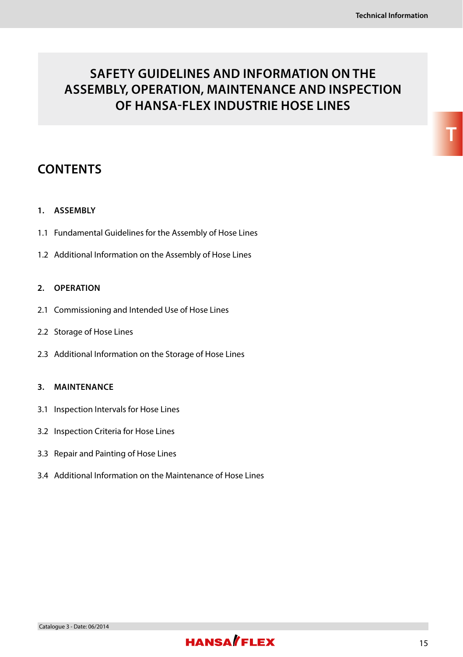# **SAFETY GUIDELINES AND INFORMATION ON THE ASSEMBLY, OPERATION, MAINTENANCE AND INSPECTION OF HANSA-FLEX INDUSTRIE HOSE LINES**

# **CONTENTS**

#### **1. ASSEMBLY**

- 1.1 Fundamental Guidelines for the Assembly of Hose Lines
- 1.2 Additional Information on the Assembly of Hose Lines

#### **2. OPERATION**

- 2.1 Commissioning and Intended Use of Hose Lines
- 2.2 Storage of Hose Lines
- 2.3 Additional Information on the Storage of Hose Lines

#### **3. MAINTENANCE**

- 3.1 Inspection Intervals for Hose Lines
- 3.2 Inspection Criteria for Hose Lines
- 3.3 Repair and Painting of Hose Lines
- 3.4 Additional Information on the Maintenance of Hose Lines

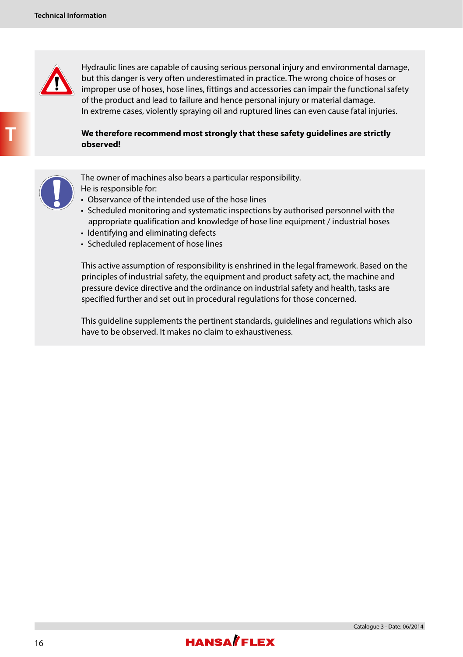

 Hydraulic lines are capable of causing serious personal injury and environmental damage, but this danger is very often underestimated in practice. The wrong choice of hoses or improper use of hoses, hose lines, fittings and accessories can impair the functional safety of the product and lead to failure and hence personal injury or material damage. In extreme cases, violently spraying oil and ruptured lines can even cause fatal injuries.

#### **We therefore recommend most strongly that these safety guidelines are strictly observed!**



The owner of machines also bears a particular responsibility.

He is responsible for:

- Observance of the intended use of the hose lines
- Scheduled monitoring and systematic inspections by authorised personnel with the appropriate qualification and knowledge of hose line equipment / industrial hoses
- Identifying and eliminating defects
- Scheduled replacement of hose lines

 This active assumption of responsibility is enshrined in the legal framework. Based on the principles of industrial safety, the equipment and product safety act, the machine and pressure device directive and the ordinance on industrial safety and health, tasks are specified further and set out in procedural regulations for those concerned.

 This guideline supplements the pertinent standards, guidelines and regulations which also have to be observed. It makes no claim to exhaustiveness.

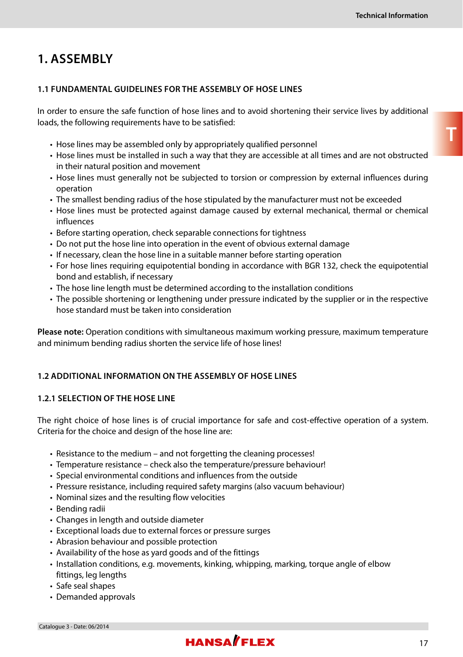# **1. ASSEMBLY**

#### **1.1 FUNDAMENTAL GUIDELINES FOR THE ASSEMBLY OF HOSE LINES**

In order to ensure the safe function of hose lines and to avoid shortening their service lives by additional loads, the following requirements have to be satisfied:

- Hose lines may be assembled only by appropriately qualified personnel
- Hose lines must be installed in such a way that they are accessible at all times and are not obstructed in their natural position and movement
- Hose lines must generally not be subjected to torsion or compression by external influences during operation
- The smallest bending radius of the hose stipulated by the manufacturer must not be exceeded
- Hose lines must be protected against damage caused by external mechanical, thermal or chemical influences
- Before starting operation, check separable connections for tightness
- Do not put the hose line into operation in the event of obvious external damage
- If necessary, clean the hose line in a suitable manner before starting operation
- For hose lines requiring equipotential bonding in accordance with BGR 132, check the equipotential bond and establish, if necessary
- The hose line length must be determined according to the installation conditions
- The possible shortening or lengthening under pressure indicated by the supplier or in the respective hose standard must be taken into consideration

**Please note:** Operation conditions with simultaneous maximum working pressure, maximum temperature and minimum bending radius shorten the service life of hose lines!

#### **1.2 ADDITIONAL INFORMATION ON THE ASSEMBLY OF HOSE LINES**

#### **1.2.1 SELECTION OF THE HOSE LINE**

The right choice of hose lines is of crucial importance for safe and cost-effective operation of a system. Criteria for the choice and design of the hose line are:

- Resistance to the medium and not forgetting the cleaning processes!
- Temperature resistance check also the temperature/pressure behaviour!
- Special environmental conditions and influences from the outside
- Pressure resistance, including required safety margins (also vacuum behaviour)
- Nominal sizes and the resulting flow velocities
- Bending radii
- Changes in length and outside diameter
- Exceptional loads due to external forces or pressure surges
- Abrasion behaviour and possible protection
- Availability of the hose as yard goods and of the fittings
- Installation conditions, e.g. movements, kinking, whipping, marking, torque angle of elbow fittings, leg lengths
- Safe seal shapes
- Demanded approvals

# **HANSA**/FIFX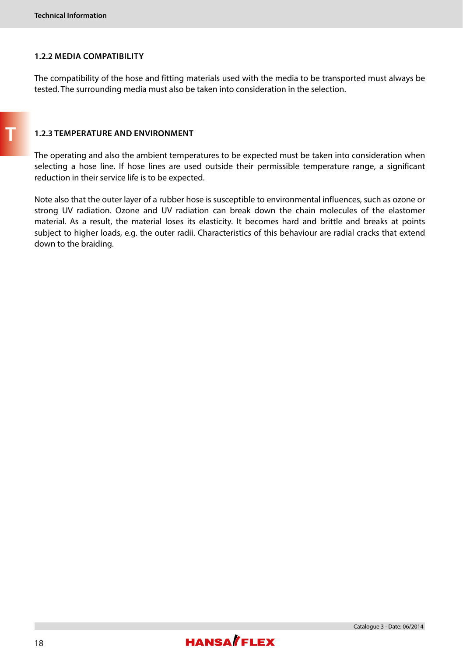**T**

#### **1.2.2 MEDIA COMPATIBILITY**

The compatibility of the hose and fitting materials used with the media to be transported must always be tested. The surrounding media must also be taken into consideration in the selection.

#### **1.2.3 TEMPERATURE AND ENVIRONMENT**

The operating and also the ambient temperatures to be expected must be taken into consideration when selecting a hose line. If hose lines are used outside their permissible temperature range, a significant reduction in their service life is to be expected.

Note also that the outer layer of a rubber hose is susceptible to environmental influences, such as ozone or strong UV radiation. Ozone and UV radiation can break down the chain molecules of the elastomer material. As a result, the material loses its elasticity. It becomes hard and brittle and breaks at points subject to higher loads, e.g. the outer radii. Characteristics of this behaviour are radial cracks that extend down to the braiding.



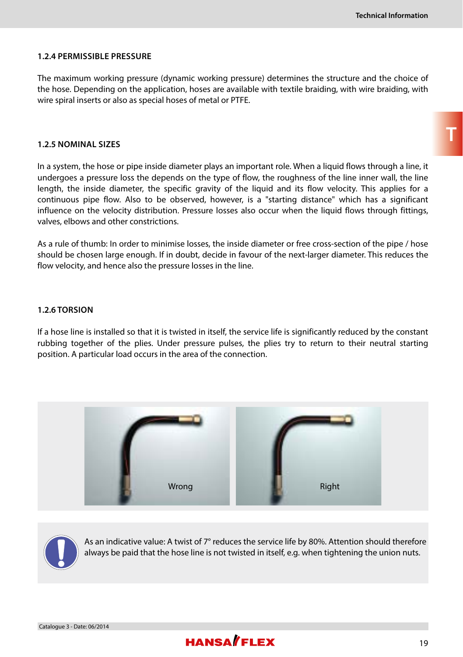#### **1.2.4 PERMISSIBLE PRESSURE**

The maximum working pressure (dynamic working pressure) determines the structure and the choice of the hose. Depending on the application, hoses are available with textile braiding, with wire braiding, with wire spiral inserts or also as special hoses of metal or PTFE.

#### **1.2.5 NOMINAL SIZES**

In a system, the hose or pipe inside diameter plays an important role. When a liquid flows through a line, it undergoes a pressure loss the depends on the type of flow, the roughness of the line inner wall, the line length, the inside diameter, the specific gravity of the liquid and its flow velocity. This applies for a continuous pipe flow. Also to be observed, however, is a "starting distance" which has a significant influence on the velocity distribution. Pressure losses also occur when the liquid flows through fittings, valves, elbows and other constrictions.

As a rule of thumb: In order to minimise losses, the inside diameter or free cross-section of the pipe / hose should be chosen large enough. If in doubt, decide in favour of the next-larger diameter. This reduces the flow velocity, and hence also the pressure losses in the line.

#### **1.2.6 TORSION**

If a hose line is installed so that it is twisted in itself, the service life is significantly reduced by the constant rubbing together of the plies. Under pressure pulses, the plies try to return to their neutral starting position. A particular load occurs in the area of the connection.





As an indicative value: A twist of 7° reduces the service life by 80%. Attention should therefore always be paid that the hose line is not twisted in itself, e.g. when tightening the union nuts.

**T**

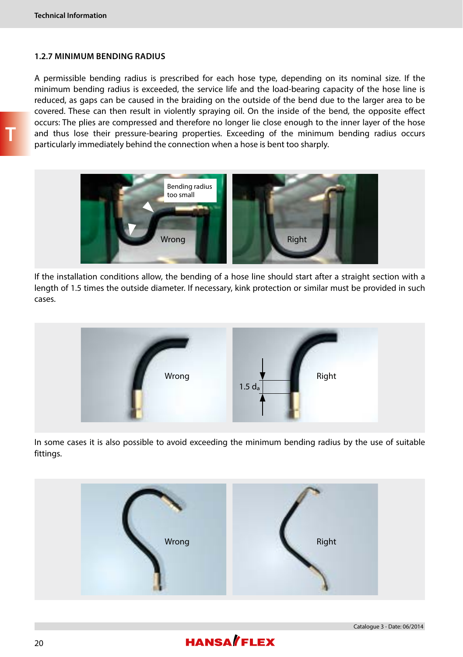#### **1.2.7 MINIMUM BENDING RADIUS**

A permissible bending radius is prescribed for each hose type, depending on its nominal size. If the minimum bending radius is exceeded, the service life and the load-bearing capacity of the hose line is reduced, as gaps can be caused in the braiding on the outside of the bend due to the larger area to be covered. These can then result in violently spraying oil. On the inside of the bend, the opposite effect occurs: The plies are compressed and therefore no longer lie close enough to the inner layer of the hose and thus lose their pressure-bearing properties. Exceeding of the minimum bending radius occurs particularly immediately behind the connection when a hose is bent too sharply.



If the installation conditions allow, the bending of a hose line should start after a straight section with a length of 1.5 times the outside diameter. If necessary, kink protection or similar must be provided in such cases.



In some cases it is also possible to avoid exceeding the minimum bending radius by the use of suitable fittings.



Catalogue 3 - Date: 06/2014

# **HANSA**/FLEX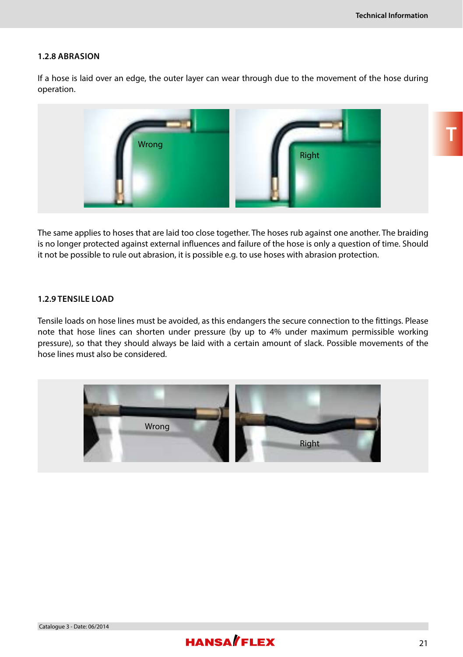#### **1.2.8 ABRASION**

If a hose is laid over an edge, the outer layer can wear through due to the movement of the hose during operation.



The same applies to hoses that are laid too close together. The hoses rub against one another. The braiding is no longer protected against external influences and failure of the hose is only a question of time. Should it not be possible to rule out abrasion, it is possible e.g. to use hoses with abrasion protection.

#### **1.2.9 TENSILE LOAD**

Tensile loads on hose lines must be avoided, as this endangers the secure connection to the fittings. Please note that hose lines can shorten under pressure (by up to 4% under maximum permissible working pressure), so that they should always be laid with a certain amount of slack. Possible movements of the hose lines must also be considered.



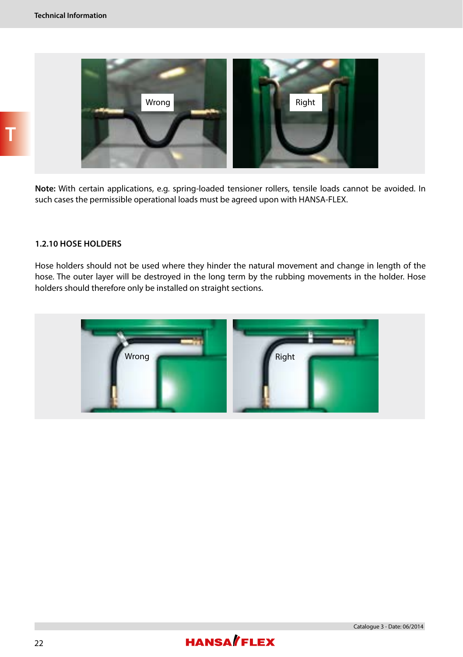

**Note:** With certain applications, e.g. spring-loaded tensioner rollers, tensile loads cannot be avoided. In such cases the permissible operational loads must be agreed upon with HANSA-FLEX.

#### **1.2.10 HOSE HOLDERS**

Hose holders should not be used where they hinder the natural movement and change in length of the hose. The outer layer will be destroyed in the long term by the rubbing movements in the holder. Hose holders should therefore only be installed on straight sections.



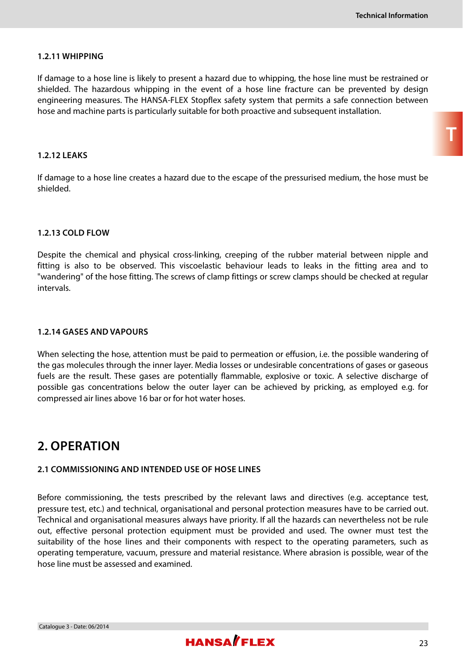**T**

#### **1.2.11 WHIPPING**

If damage to a hose line is likely to present a hazard due to whipping, the hose line must be restrained or shielded. The hazardous whipping in the event of a hose line fracture can be prevented by design engineering measures. The HANSA-FLEX Stopflex safety system that permits a safe connection between hose and machine parts is particularly suitable for both proactive and subsequent installation.

#### **1.2.12 LEAKS**

If damage to a hose line creates a hazard due to the escape of the pressurised medium, the hose must be shielded.

#### **1.2.13 COLD FLOW**

Despite the chemical and physical cross-linking, creeping of the rubber material between nipple and fitting is also to be observed. This viscoelastic behaviour leads to leaks in the fitting area and to "wandering" of the hose fitting. The screws of clamp fittings or screw clamps should be checked at regular intervals.

#### **1.2.14 GASES AND VAPOURS**

When selecting the hose, attention must be paid to permeation or effusion, i.e. the possible wandering of the gas molecules through the inner layer. Media losses or undesirable concentrations of gases or gaseous fuels are the result. These gases are potentially flammable, explosive or toxic. A selective discharge of possible gas concentrations below the outer layer can be achieved by pricking, as employed e.g. for compressed air lines above 16 bar or for hot water hoses.

### **2. OPERATION**

Catalogue 3 - Date: 06/2014

#### **2.1 COMMISSIONING AND INTENDED USE OF HOSE LINES**

Before commissioning, the tests prescribed by the relevant laws and directives (e.g. acceptance test, pressure test, etc.) and technical, organisational and personal protection measures have to be carried out. Technical and organisational measures always have priority. If all the hazards can nevertheless not be rule out, effective personal protection equipment must be provided and used. The owner must test the suitability of the hose lines and their components with respect to the operating parameters, such as operating temperature, vacuum, pressure and material resistance. Where abrasion is possible, wear of the hose line must be assessed and examined.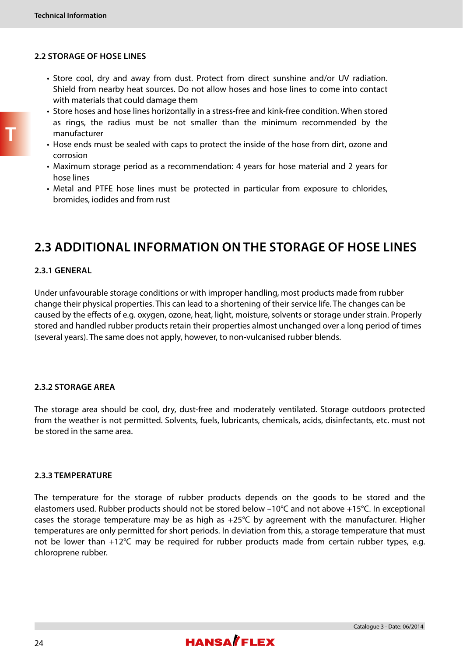#### **2.2 STORAGE OF HOSE LINES**

- Store cool, dry and away from dust. Protect from direct sunshine and/or UV radiation. Shield from nearby heat sources. Do not allow hoses and hose lines to come into contact with materials that could damage them
- Store hoses and hose lines horizontally in a stress-free and kink-free condition. When stored as rings, the radius must be not smaller than the minimum recommended by the manufacturer
- Hose ends must be sealed with caps to protect the inside of the hose from dirt, ozone and corrosion
- Maximum storage period as a recommendation: 4 years for hose material and 2 years for hose lines
- Metal and PTFE hose lines must be protected in particular from exposure to chlorides, bromides, iodides and from rust

# **2.3 ADDITIONAL INFORMATION ON THE STORAGE OF HOSE LINES**

#### **2.3.1 GENERAL**

Under unfavourable storage conditions or with improper handling, most products made from rubber change their physical properties. This can lead to a shortening of their service life. The changes can be caused by the effects of e.g. oxygen, ozone, heat, light, moisture, solvents or storage under strain. Properly stored and handled rubber products retain their properties almost unchanged over a long period of times (several years). The same does not apply, however, to non-vulcanised rubber blends.

#### **2.3.2 STORAGE AREA**

The storage area should be cool, dry, dust-free and moderately ventilated. Storage outdoors protected from the weather is not permitted. Solvents, fuels, lubricants, chemicals, acids, disinfectants, etc. must not be stored in the same area.

#### **2.3.3 TEMPERATURE**

The temperature for the storage of rubber products depends on the goods to be stored and the elastomers used. Rubber products should not be stored below –10°C and not above +15°C. In exceptional cases the storage temperature may be as high as +25°C by agreement with the manufacturer. Higher temperatures are only permitted for short periods. In deviation from this, a storage temperature that must not be lower than +12°C may be required for rubber products made from certain rubber types, e.g. chloroprene rubber.

Catalogue 3 - Date: 06/2014

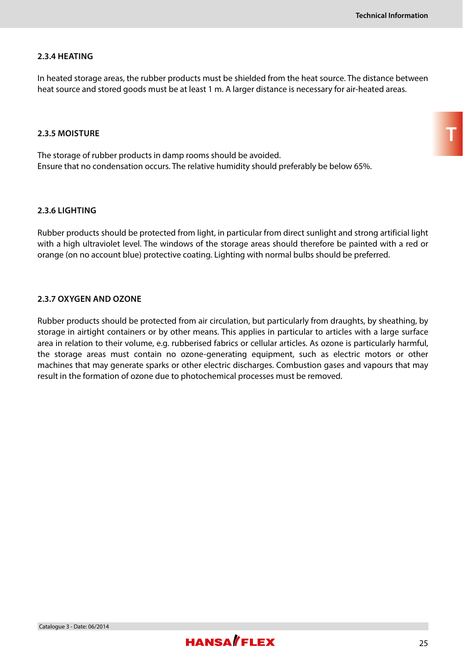#### **2.3.4 HEATING**

In heated storage areas, the rubber products must be shielded from the heat source. The distance between heat source and stored goods must be at least 1 m. A larger distance is necessary for air-heated areas.

#### **2.3.5 MOISTURE**

The storage of rubber products in damp rooms should be avoided. Ensure that no condensation occurs. The relative humidity should preferably be below 65%.

#### **2.3.6 LIGHTING**

Rubber products should be protected from light, in particular from direct sunlight and strong artificial light with a high ultraviolet level. The windows of the storage areas should therefore be painted with a red or orange (on no account blue) protective coating. Lighting with normal bulbs should be preferred.

#### **2.3.7 OXYGEN AND OZONE**

Rubber products should be protected from air circulation, but particularly from draughts, by sheathing, by storage in airtight containers or by other means. This applies in particular to articles with a large surface area in relation to their volume, e.g. rubberised fabrics or cellular articles. As ozone is particularly harmful, the storage areas must contain no ozone-generating equipment, such as electric motors or other machines that may generate sparks or other electric discharges. Combustion gases and vapours that may result in the formation of ozone due to photochemical processes must be removed.

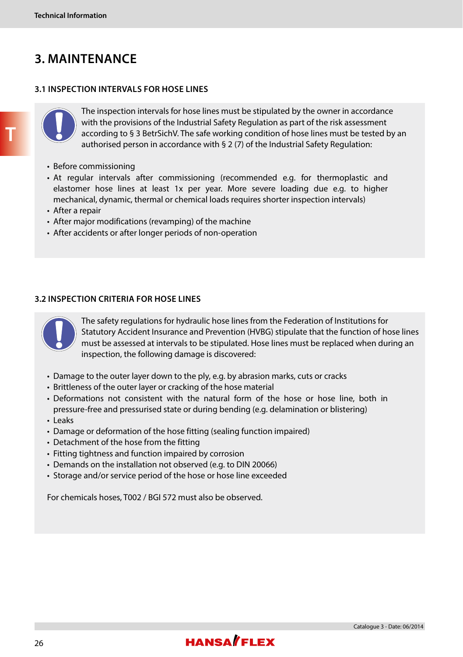### **3. MAINTENANCE**

#### **3.1 INSPECTION INTERVALS FOR HOSE LINES**



The inspection intervals for hose lines must be stipulated by the owner in accordance with the provisions of the Industrial Safety Regulation as part of the risk assessment according to § 3 BetrSichV. The safe working condition of hose lines must be tested by an authorised person in accordance with § 2 (7) of the Industrial Safety Regulation:

- Before commissioning
- At regular intervals after commissioning (recommended e.g. for thermoplastic and elastomer hose lines at least 1x per year. More severe loading due e.g. to higher mechanical, dynamic, thermal or chemical loads requires shorter inspection intervals)
- After a repair
- After major modifications (revamping) of the machine
- After accidents or after longer periods of non-operation

#### **3.2 INSPECTION CRITERIA FOR HOSE LINES**



The safety regulations for hydraulic hose lines from the Federation of Institutions for Statutory Accident Insurance and Prevention (HVBG) stipulate that the function of hose lines must be assessed at intervals to be stipulated. Hose lines must be replaced when during an inspection, the following damage is discovered:

- Damage to the outer layer down to the ply, e.g. by abrasion marks, cuts or cracks
- Brittleness of the outer layer or cracking of the hose material
- Deformations not consistent with the natural form of the hose or hose line, both in pressure-free and pressurised state or during bending (e.g. delamination or blistering)
- Leaks
- Damage or deformation of the hose fitting (sealing function impaired)
- Detachment of the hose from the fitting
- Fitting tightness and function impaired by corrosion
- Demands on the installation not observed (e.g. to DIN 20066)
- Storage and/or service period of the hose or hose line exceeded

For chemicals hoses, T002 / BGI 572 must also be observed.

**T**

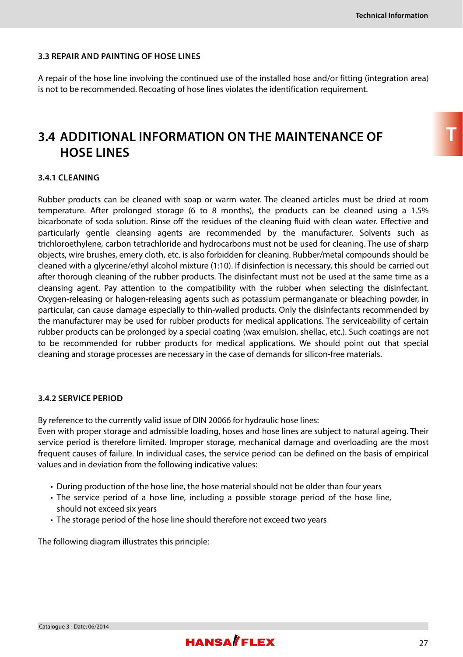#### **3.3 REPAIR AND PAINTING OF HOSE LINES**

A repair of the hose line involving the continued use of the installed hose and/or fitting (integration area) is not to be recommended. Recoating of hose lines violates the identification requirement.

### **3.4 ADDITIONAL INFORMATION ON THE MAINTENANCE OF HOSE LINES**

#### **3.4.1 CLEANING**

Rubber products can be cleaned with soap or warm water. The cleaned articles must be dried at room temperature. After prolonged storage (6 to 8 months), the products can be cleaned using a 1.5% bicarbonate of soda solution. Rinse off the residues of the cleaning fluid with clean water. Effective and particularly gentle cleansing agents are recommended by the manufacturer. Solvents such as trichloroethylene, carbon tetrachloride and hydrocarbons must not be used for cleaning. The use of sharp objects, wire brushes, emery cloth, etc. is also forbidden for cleaning. Rubber/metal compounds should be cleaned with a glycerine/ethyl alcohol mixture (1:10). If disinfection is necessary, this should be carried out after thorough cleaning of the rubber products. The disinfectant must not be used at the same time as a cleansing agent. Pay attention to the compatibility with the rubber when selecting the disinfectant. Oxygen-releasing or halogen-releasing agents such as potassium permanganate or bleaching powder, in particular, can cause damage especially to thin-walled products. Only the disinfectants recommended by the manufacturer may be used for rubber products for medical applications. The serviceability of certain rubber products can be prolonged by a special coating (wax emulsion, shellac, etc.). Such coatings are not to be recommended for rubber products for medical applications. We should point out that special cleaning and storage processes are necessary in the case of demands for silicon-free materials.

#### **3.4.2 SERVICE PERIOD**

By reference to the currently valid issue of DIN 20066 for hydraulic hose lines:

Even with proper storage and admissible loading, hoses and hose lines are subject to natural ageing. Their service period is therefore limited. Improper storage, mechanical damage and overloading are the most frequent causes of failure. In individual cases, the service period can be defined on the basis of empirical values and in deviation from the following indicative values:

- During production of the hose line, the hose material should not be older than four years
- The service period of a hose line, including a possible storage period of the hose line, should not exceed six years
- The storage period of the hose line should therefore not exceed two years

The following diagram illustrates this principle: